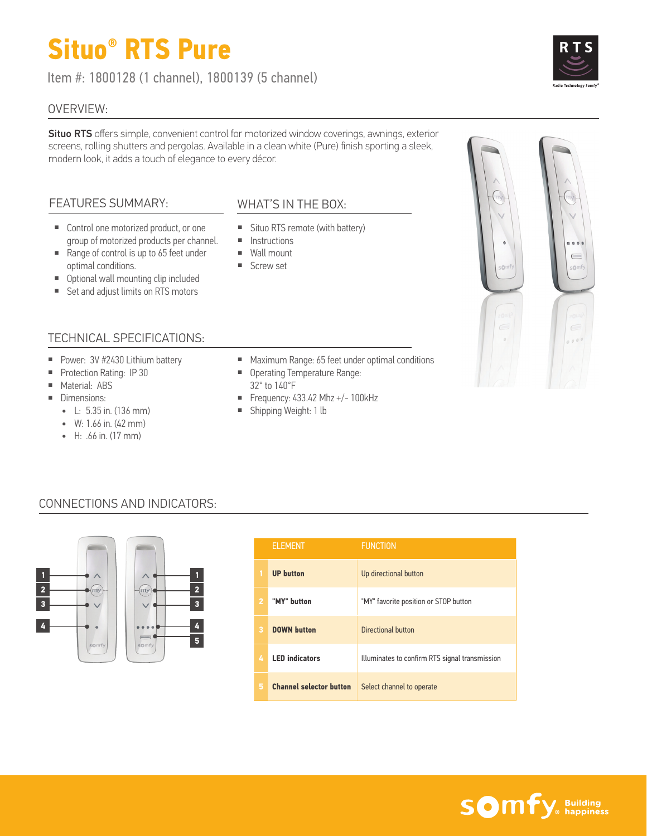# **Situo® RTS Pure**

Item #: 1800128 (1 channel), 1800139 (5 channel)

#### OVERVIEW:

Situo RTS offers simple, convenient control for motorized window coverings, awnings, exterior screens, rolling shutters and pergolas. Available in a clean white (Pure) finish sporting a sleek, modern look, it adds a touch of elegance to every décor.

## FEATURES SUMMARY:

- Control one motorized product, or one group of motorized products per channel.
- Range of control is up to 65 feet under optimal conditions.
- Optional wall mounting clip included
- Set and adjust limits on RTS motors

#### TECHNICAL SPECIFICATIONS:

- Power: 3V #2430 Lithium battery
- Protection Rating: IP 30
- Material: ABS
- Dimensions:
	- $\bullet$  L: 5.35 in. (136 mm)
	- W: 1.66 in. (42 mm)
	- H: .66 in. (17 mm)

# WHAT'S IN THE BOX:

- Situo RTS remote (with battery)
- Instructions
- Wall mount
- Screw set
- Maximum Range: 65 feet under optimal conditions
- Operating Temperature Range: 32° to 140°F
- $\blacksquare$  Frequency: 433.42 Mhz +/- 100kHz
- Shipping Weight: 1 lb

# CONNECTIONS AND INDICATORS:



|   | <b>ELEMENT</b>                 | <b>FUNCTION</b>                                |
|---|--------------------------------|------------------------------------------------|
|   | <b>UP</b> button               | Up directional button                          |
| 2 | "MY" button                    | "MY" favorite position or STOP button          |
|   | <b>DOWN button</b>             | Directional button                             |
| 4 | <b>LED</b> indicators          | Illuminates to confirm RTS signal transmission |
|   | <b>Channel selector button</b> | Select channel to operate                      |